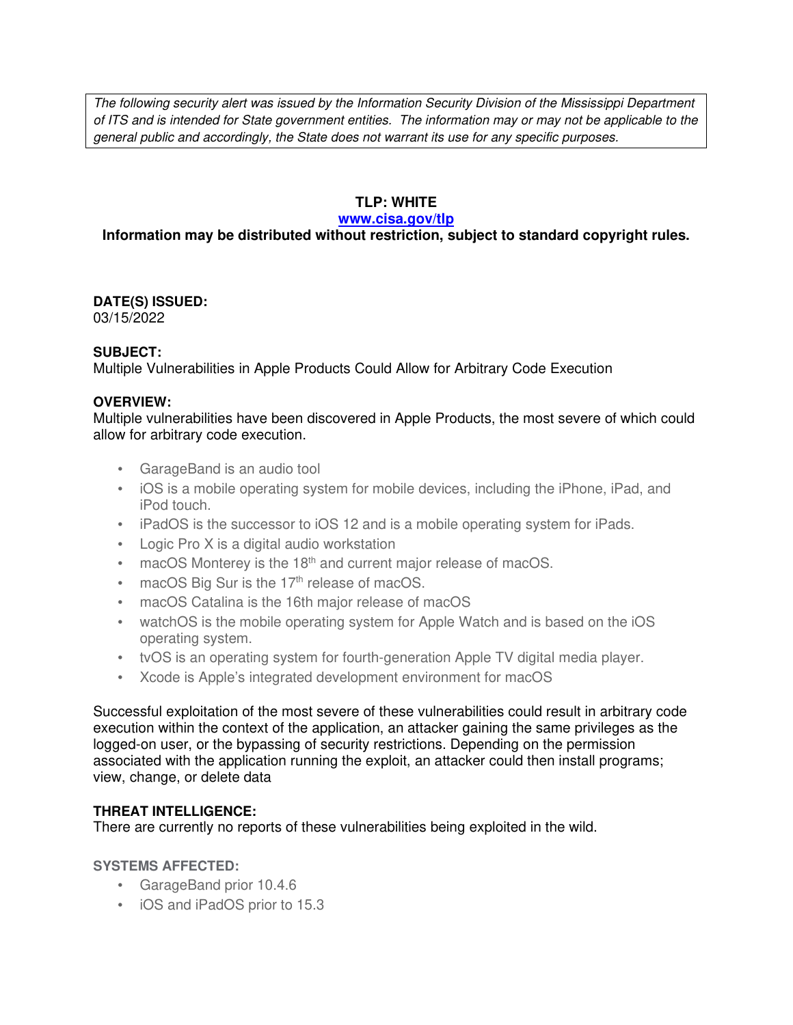The following security alert was issued by the Information Security Division of the Mississippi Department of ITS and is intended for State government entities. The information may or may not be applicable to the general public and accordingly, the State does not warrant its use for any specific purposes.

### **TLP: WHITE**

#### **www.cisa.gov/tlp**

## **Information may be distributed without restriction, subject to standard copyright rules.**

#### **DATE(S) ISSUED:** 03/15/2022

### **SUBJECT:**

Multiple Vulnerabilities in Apple Products Could Allow for Arbitrary Code Execution

### **OVERVIEW:**

Multiple vulnerabilities have been discovered in Apple Products, the most severe of which could allow for arbitrary code execution.

- GarageBand is an audio tool
- iOS is a mobile operating system for mobile devices, including the iPhone, iPad, and iPod touch.
- iPadOS is the successor to iOS 12 and is a mobile operating system for iPads.
- Logic Pro X is a digital audio workstation
- macOS Monterey is the 18<sup>th</sup> and current major release of macOS.
- $\bullet$  macOS Big Sur is the 17<sup>th</sup> release of macOS.
- macOS Catalina is the 16th major release of macOS
- watchOS is the mobile operating system for Apple Watch and is based on the iOS operating system.
- tvOS is an operating system for fourth-generation Apple TV digital media player.
- Xcode is Apple's integrated development environment for macOS

Successful exploitation of the most severe of these vulnerabilities could result in arbitrary code execution within the context of the application, an attacker gaining the same privileges as the logged-on user, or the bypassing of security restrictions. Depending on the permission associated with the application running the exploit, an attacker could then install programs; view, change, or delete data

### **THREAT INTELLIGENCE:**

There are currently no reports of these vulnerabilities being exploited in the wild.

#### **SYSTEMS AFFECTED:**

- GarageBand prior 10.4.6
- iOS and iPadOS prior to 15.3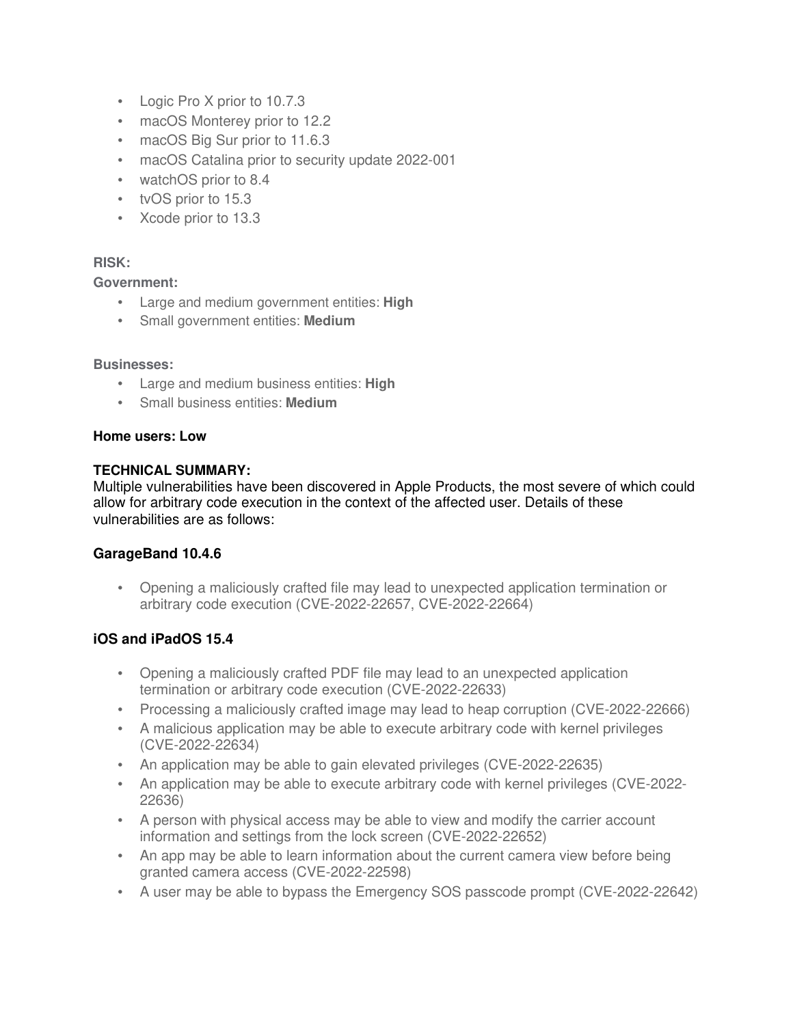- Logic Pro X prior to 10.7.3
- macOS Monterey prior to 12.2
- macOS Big Sur prior to 11.6.3
- macOS Catalina prior to security update 2022-001
- watchOS prior to 8.4
- tvOS prior to 15.3
- Xcode prior to 13.3

### **RISK:**

#### **Government:**

- Large and medium government entities: **High**
- Small government entities: **Medium**

#### **Businesses:**

- Large and medium business entities: **High**
- Small business entities: **Medium**

#### **Home users: Low**

#### **TECHNICAL SUMMARY:**

Multiple vulnerabilities have been discovered in Apple Products, the most severe of which could allow for arbitrary code execution in the context of the affected user. Details of these vulnerabilities are as follows:

### **GarageBand 10.4.6**

• Opening a maliciously crafted file may lead to unexpected application termination or arbitrary code execution (CVE-2022-22657, CVE-2022-22664)

### **iOS and iPadOS 15.4**

- Opening a maliciously crafted PDF file may lead to an unexpected application termination or arbitrary code execution (CVE-2022-22633)
- Processing a maliciously crafted image may lead to heap corruption (CVE-2022-22666)
- A malicious application may be able to execute arbitrary code with kernel privileges (CVE-2022-22634)
- An application may be able to gain elevated privileges (CVE-2022-22635)
- An application may be able to execute arbitrary code with kernel privileges (CVE-2022- 22636)
- A person with physical access may be able to view and modify the carrier account information and settings from the lock screen (CVE-2022-22652)
- An app may be able to learn information about the current camera view before being granted camera access (CVE-2022-22598)
- A user may be able to bypass the Emergency SOS passcode prompt (CVE-2022-22642)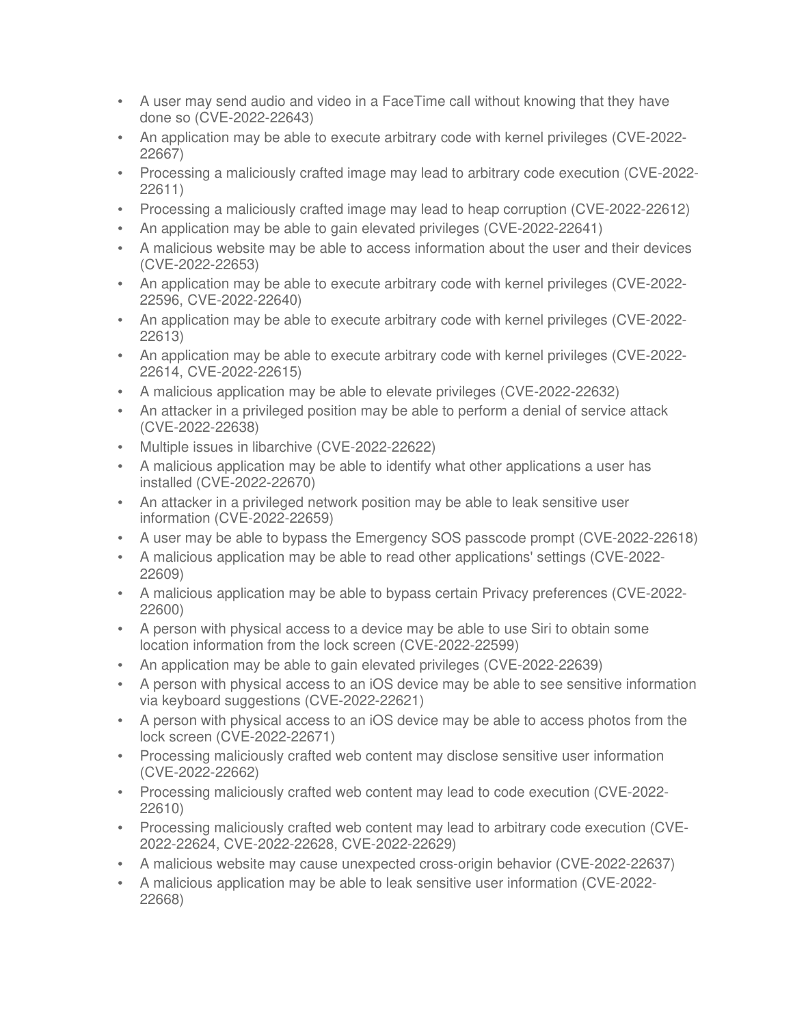- A user may send audio and video in a FaceTime call without knowing that they have done so (CVE-2022-22643)
- An application may be able to execute arbitrary code with kernel privileges (CVE-2022- 22667)
- Processing a maliciously crafted image may lead to arbitrary code execution (CVE-2022- 22611)
- Processing a maliciously crafted image may lead to heap corruption (CVE-2022-22612)
- An application may be able to gain elevated privileges (CVE-2022-22641)
- A malicious website may be able to access information about the user and their devices (CVE-2022-22653)
- An application may be able to execute arbitrary code with kernel privileges (CVE-2022- 22596, CVE-2022-22640)
- An application may be able to execute arbitrary code with kernel privileges (CVE-2022- 22613)
- An application may be able to execute arbitrary code with kernel privileges (CVE-2022- 22614, CVE-2022-22615)
- A malicious application may be able to elevate privileges (CVE-2022-22632)
- An attacker in a privileged position may be able to perform a denial of service attack (CVE-2022-22638)
- Multiple issues in libarchive (CVE-2022-22622)
- A malicious application may be able to identify what other applications a user has installed (CVE-2022-22670)
- An attacker in a privileged network position may be able to leak sensitive user information (CVE-2022-22659)
- A user may be able to bypass the Emergency SOS passcode prompt (CVE-2022-22618)
- A malicious application may be able to read other applications' settings (CVE-2022- 22609)
- A malicious application may be able to bypass certain Privacy preferences (CVE-2022- 22600)
- A person with physical access to a device may be able to use Siri to obtain some location information from the lock screen (CVE-2022-22599)
- An application may be able to gain elevated privileges (CVE-2022-22639)
- A person with physical access to an iOS device may be able to see sensitive information via keyboard suggestions (CVE-2022-22621)
- A person with physical access to an iOS device may be able to access photos from the lock screen (CVE-2022-22671)
- Processing maliciously crafted web content may disclose sensitive user information (CVE-2022-22662)
- Processing maliciously crafted web content may lead to code execution (CVE-2022- 22610)
- Processing maliciously crafted web content may lead to arbitrary code execution (CVE-2022-22624, CVE-2022-22628, CVE-2022-22629)
- A malicious website may cause unexpected cross-origin behavior (CVE-2022-22637)
- A malicious application may be able to leak sensitive user information (CVE-2022- 22668)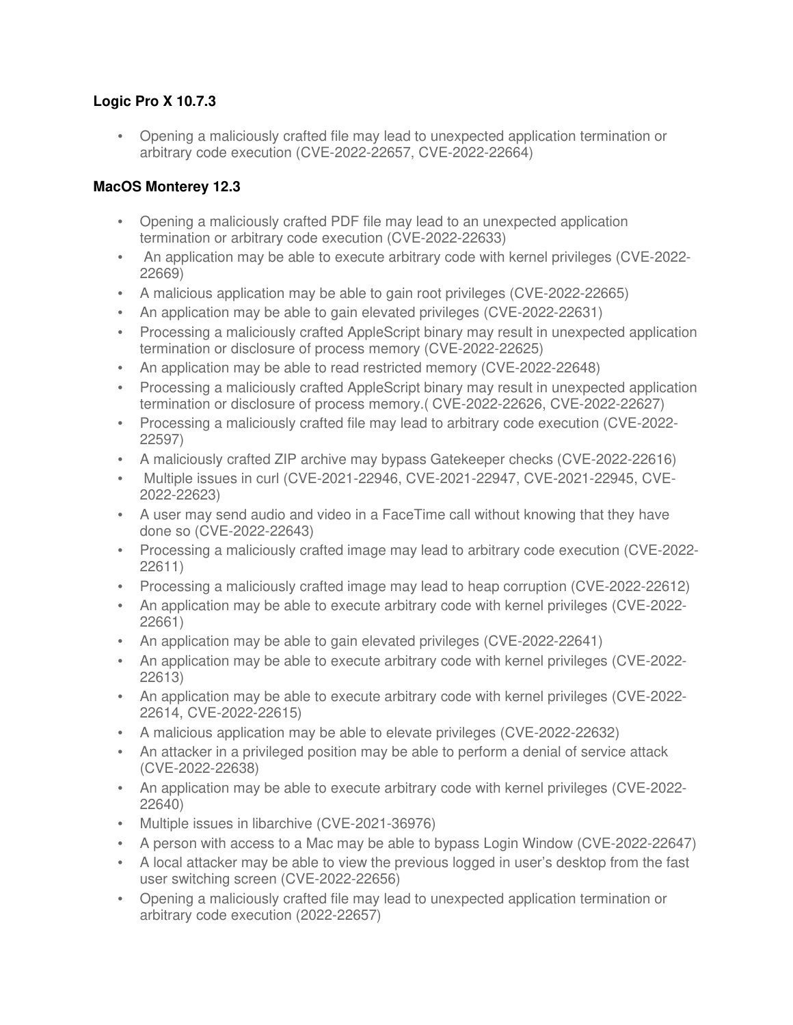## **Logic Pro X 10.7.3**

• Opening a maliciously crafted file may lead to unexpected application termination or arbitrary code execution (CVE-2022-22657, CVE-2022-22664)

# **MacOS Monterey 12.3**

- Opening a maliciously crafted PDF file may lead to an unexpected application termination or arbitrary code execution (CVE-2022-22633)
- An application may be able to execute arbitrary code with kernel privileges (CVE-2022-22669)
- A malicious application may be able to gain root privileges (CVE-2022-22665)
- An application may be able to gain elevated privileges (CVE-2022-22631)
- Processing a maliciously crafted AppleScript binary may result in unexpected application termination or disclosure of process memory (CVE-2022-22625)
- An application may be able to read restricted memory (CVE-2022-22648)
- Processing a maliciously crafted AppleScript binary may result in unexpected application termination or disclosure of process memory.( CVE-2022-22626, CVE-2022-22627)
- Processing a maliciously crafted file may lead to arbitrary code execution (CVE-2022- 22597)
- A maliciously crafted ZIP archive may bypass Gatekeeper checks (CVE-2022-22616)
- Multiple issues in curl (CVE-2021-22946, CVE-2021-22947, CVE-2021-22945, CVE-2022-22623)
- A user may send audio and video in a FaceTime call without knowing that they have done so (CVE-2022-22643)
- Processing a maliciously crafted image may lead to arbitrary code execution (CVE-2022- 22611)
- Processing a maliciously crafted image may lead to heap corruption (CVE-2022-22612)
- An application may be able to execute arbitrary code with kernel privileges (CVE-2022- 22661)
- An application may be able to gain elevated privileges (CVE-2022-22641)
- An application may be able to execute arbitrary code with kernel privileges (CVE-2022- 22613)
- An application may be able to execute arbitrary code with kernel privileges (CVE-2022- 22614, CVE-2022-22615)
- A malicious application may be able to elevate privileges (CVE-2022-22632)
- An attacker in a privileged position may be able to perform a denial of service attack (CVE-2022-22638)
- An application may be able to execute arbitrary code with kernel privileges (CVE-2022- 22640)
- Multiple issues in libarchive (CVE-2021-36976)
- A person with access to a Mac may be able to bypass Login Window (CVE-2022-22647)
- A local attacker may be able to view the previous logged in user's desktop from the fast user switching screen (CVE-2022-22656)
- Opening a maliciously crafted file may lead to unexpected application termination or arbitrary code execution (2022-22657)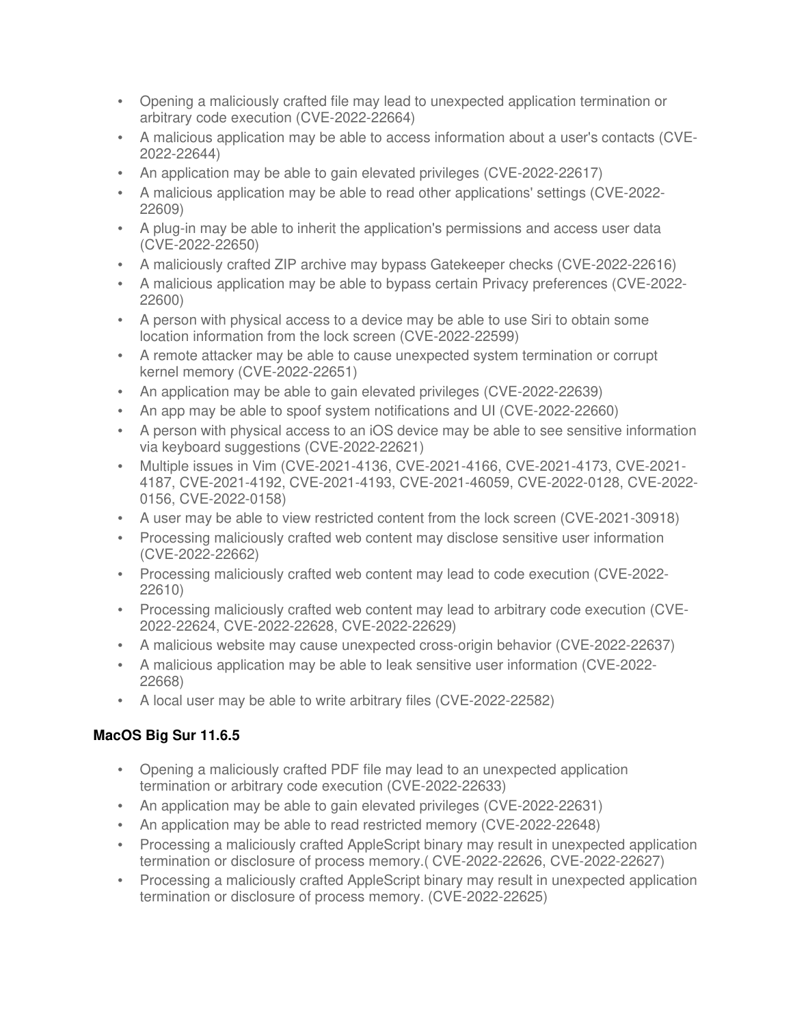- Opening a maliciously crafted file may lead to unexpected application termination or arbitrary code execution (CVE-2022-22664)
- A malicious application may be able to access information about a user's contacts (CVE-2022-22644)
- An application may be able to gain elevated privileges (CVE-2022-22617)
- A malicious application may be able to read other applications' settings (CVE-2022- 22609)
- A plug-in may be able to inherit the application's permissions and access user data (CVE-2022-22650)
- A maliciously crafted ZIP archive may bypass Gatekeeper checks (CVE-2022-22616)
- A malicious application may be able to bypass certain Privacy preferences (CVE-2022- 22600)
- A person with physical access to a device may be able to use Siri to obtain some location information from the lock screen (CVE-2022-22599)
- A remote attacker may be able to cause unexpected system termination or corrupt kernel memory (CVE-2022-22651)
- An application may be able to gain elevated privileges (CVE-2022-22639)
- An app may be able to spoof system notifications and UI (CVE-2022-22660)
- A person with physical access to an iOS device may be able to see sensitive information via keyboard suggestions (CVE-2022-22621)
- Multiple issues in Vim (CVE-2021-4136, CVE-2021-4166, CVE-2021-4173, CVE-2021- 4187, CVE-2021-4192, CVE-2021-4193, CVE-2021-46059, CVE-2022-0128, CVE-2022- 0156, CVE-2022-0158)
- A user may be able to view restricted content from the lock screen (CVE-2021-30918)
- Processing maliciously crafted web content may disclose sensitive user information (CVE-2022-22662)
- Processing maliciously crafted web content may lead to code execution (CVE-2022- 22610)
- Processing maliciously crafted web content may lead to arbitrary code execution (CVE-2022-22624, CVE-2022-22628, CVE-2022-22629)
- A malicious website may cause unexpected cross-origin behavior (CVE-2022-22637)
- A malicious application may be able to leak sensitive user information (CVE-2022- 22668)
- A local user may be able to write arbitrary files (CVE-2022-22582)

# **MacOS Big Sur 11.6.5**

- Opening a maliciously crafted PDF file may lead to an unexpected application termination or arbitrary code execution (CVE-2022-22633)
- An application may be able to gain elevated privileges (CVE-2022-22631)
- An application may be able to read restricted memory (CVE-2022-22648)
- Processing a maliciously crafted AppleScript binary may result in unexpected application termination or disclosure of process memory.( CVE-2022-22626, CVE-2022-22627)
- Processing a maliciously crafted AppleScript binary may result in unexpected application termination or disclosure of process memory. (CVE-2022-22625)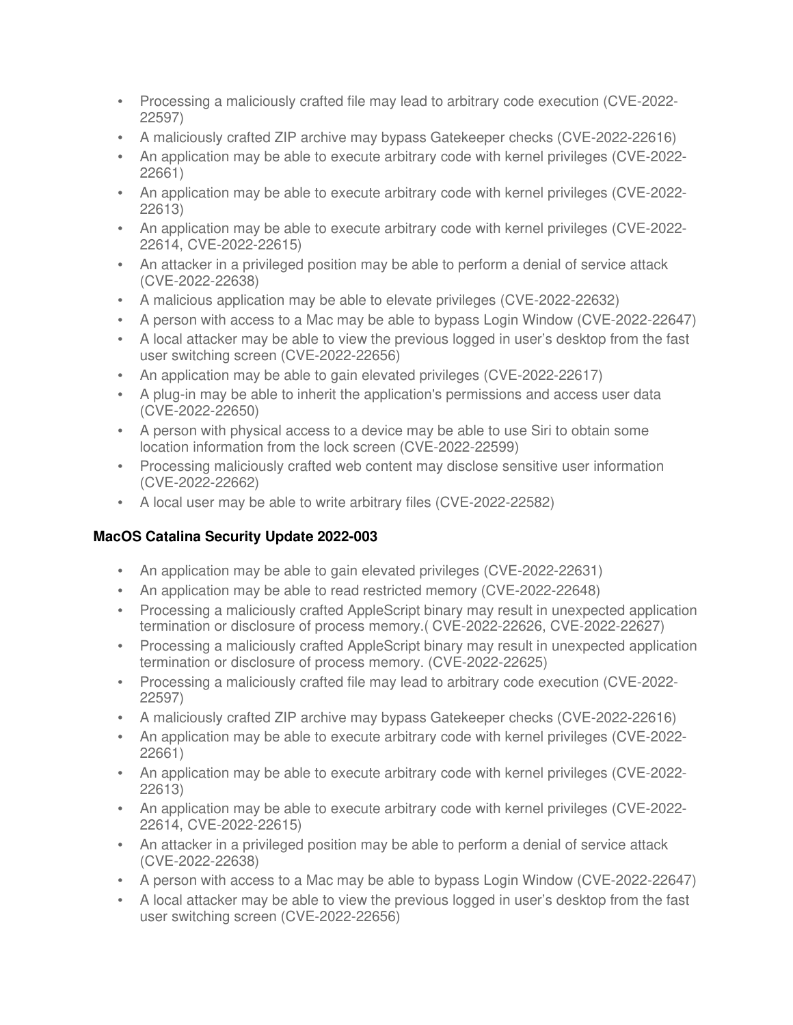- Processing a maliciously crafted file may lead to arbitrary code execution (CVE-2022- 22597)
- A maliciously crafted ZIP archive may bypass Gatekeeper checks (CVE-2022-22616)
- An application may be able to execute arbitrary code with kernel privileges (CVE-2022- 22661)
- An application may be able to execute arbitrary code with kernel privileges (CVE-2022- 22613)
- An application may be able to execute arbitrary code with kernel privileges (CVE-2022- 22614, CVE-2022-22615)
- An attacker in a privileged position may be able to perform a denial of service attack (CVE-2022-22638)
- A malicious application may be able to elevate privileges (CVE-2022-22632)
- A person with access to a Mac may be able to bypass Login Window (CVE-2022-22647)
- A local attacker may be able to view the previous logged in user's desktop from the fast user switching screen (CVE-2022-22656)
- An application may be able to gain elevated privileges (CVE-2022-22617)
- A plug-in may be able to inherit the application's permissions and access user data (CVE-2022-22650)
- A person with physical access to a device may be able to use Siri to obtain some location information from the lock screen (CVE-2022-22599)
- Processing maliciously crafted web content may disclose sensitive user information (CVE-2022-22662)
- A local user may be able to write arbitrary files (CVE-2022-22582)

# **MacOS Catalina Security Update 2022-003**

- An application may be able to gain elevated privileges (CVE-2022-22631)
- An application may be able to read restricted memory (CVE-2022-22648)
- Processing a maliciously crafted AppleScript binary may result in unexpected application termination or disclosure of process memory.( CVE-2022-22626, CVE-2022-22627)
- Processing a maliciously crafted AppleScript binary may result in unexpected application termination or disclosure of process memory. (CVE-2022-22625)
- Processing a maliciously crafted file may lead to arbitrary code execution (CVE-2022- 22597)
- A maliciously crafted ZIP archive may bypass Gatekeeper checks (CVE-2022-22616)
- An application may be able to execute arbitrary code with kernel privileges (CVE-2022- 22661)
- An application may be able to execute arbitrary code with kernel privileges (CVE-2022- 22613)
- An application may be able to execute arbitrary code with kernel privileges (CVE-2022- 22614, CVE-2022-22615)
- An attacker in a privileged position may be able to perform a denial of service attack (CVE-2022-22638)
- A person with access to a Mac may be able to bypass Login Window (CVE-2022-22647)
- A local attacker may be able to view the previous logged in user's desktop from the fast user switching screen (CVE-2022-22656)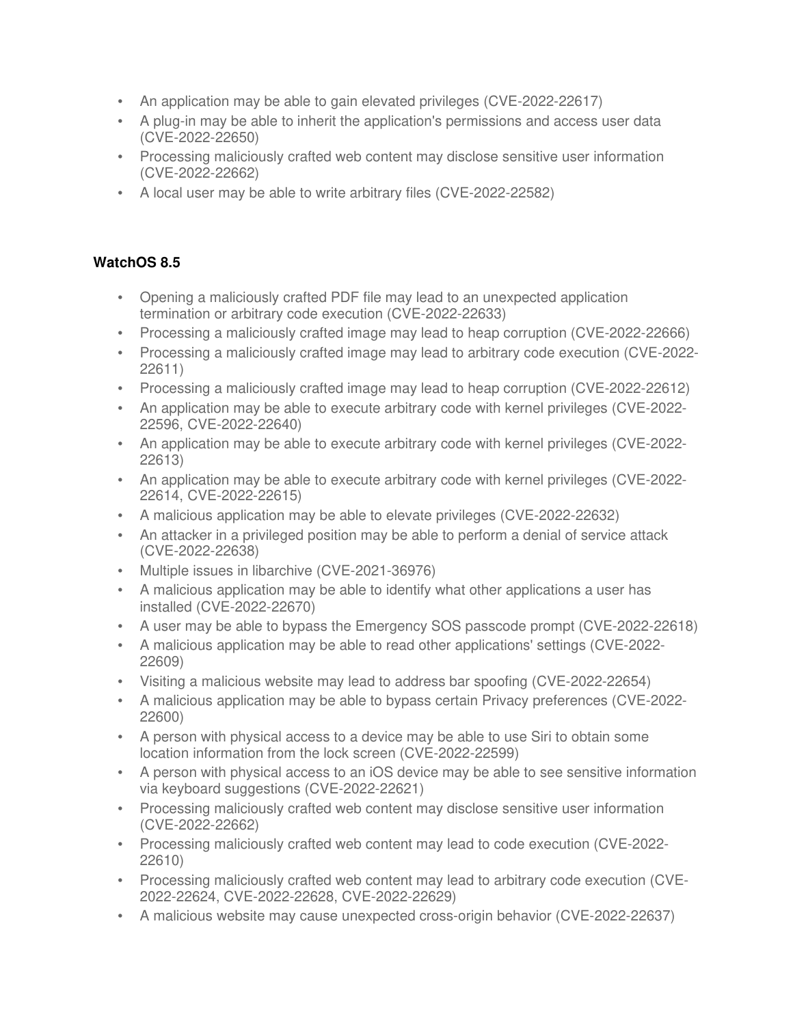- An application may be able to gain elevated privileges (CVE-2022-22617)
- A plug-in may be able to inherit the application's permissions and access user data (CVE-2022-22650)
- Processing maliciously crafted web content may disclose sensitive user information (CVE-2022-22662)
- A local user may be able to write arbitrary files (CVE-2022-22582)

# **WatchOS 8.5**

- Opening a maliciously crafted PDF file may lead to an unexpected application termination or arbitrary code execution (CVE-2022-22633)
- Processing a maliciously crafted image may lead to heap corruption (CVE-2022-22666)
- Processing a maliciously crafted image may lead to arbitrary code execution (CVE-2022- 22611)
- Processing a maliciously crafted image may lead to heap corruption (CVE-2022-22612)
- An application may be able to execute arbitrary code with kernel privileges (CVE-2022- 22596, CVE-2022-22640)
- An application may be able to execute arbitrary code with kernel privileges (CVE-2022- 22613)
- An application may be able to execute arbitrary code with kernel privileges (CVE-2022- 22614, CVE-2022-22615)
- A malicious application may be able to elevate privileges (CVE-2022-22632)
- An attacker in a privileged position may be able to perform a denial of service attack (CVE-2022-22638)
- Multiple issues in libarchive (CVE-2021-36976)
- A malicious application may be able to identify what other applications a user has installed (CVE-2022-22670)
- A user may be able to bypass the Emergency SOS passcode prompt (CVE-2022-22618)
- A malicious application may be able to read other applications' settings (CVE-2022- 22609)
- Visiting a malicious website may lead to address bar spoofing (CVE-2022-22654)
- A malicious application may be able to bypass certain Privacy preferences (CVE-2022- 22600)
- A person with physical access to a device may be able to use Siri to obtain some location information from the lock screen (CVE-2022-22599)
- A person with physical access to an iOS device may be able to see sensitive information via keyboard suggestions (CVE-2022-22621)
- Processing maliciously crafted web content may disclose sensitive user information (CVE-2022-22662)
- Processing maliciously crafted web content may lead to code execution (CVE-2022- 22610)
- Processing maliciously crafted web content may lead to arbitrary code execution (CVE-2022-22624, CVE-2022-22628, CVE-2022-22629)
- A malicious website may cause unexpected cross-origin behavior (CVE-2022-22637)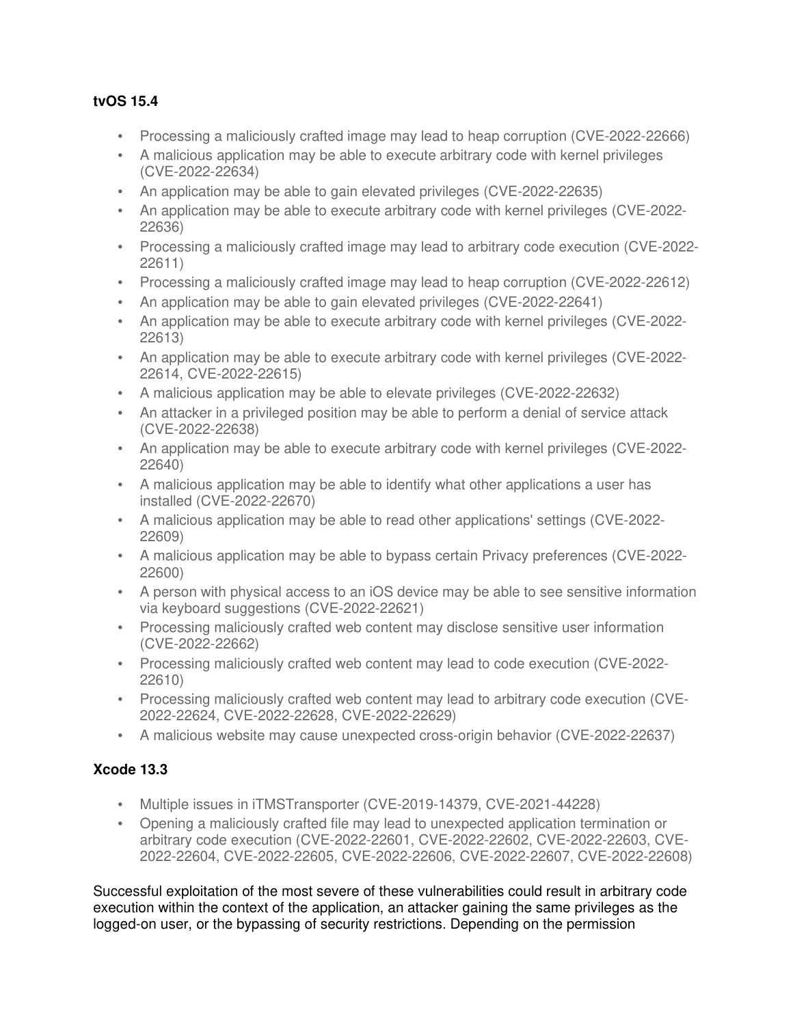## **tvOS 15.4**

- Processing a maliciously crafted image may lead to heap corruption (CVE-2022-22666)
- A malicious application may be able to execute arbitrary code with kernel privileges (CVE-2022-22634)
- An application may be able to gain elevated privileges (CVE-2022-22635)
- An application may be able to execute arbitrary code with kernel privileges (CVE-2022- 22636)
- Processing a maliciously crafted image may lead to arbitrary code execution (CVE-2022- 22611)
- Processing a maliciously crafted image may lead to heap corruption (CVE-2022-22612)
- An application may be able to gain elevated privileges (CVE-2022-22641)
- An application may be able to execute arbitrary code with kernel privileges (CVE-2022- 22613)
- An application may be able to execute arbitrary code with kernel privileges (CVE-2022- 22614, CVE-2022-22615)
- A malicious application may be able to elevate privileges (CVE-2022-22632)
- An attacker in a privileged position may be able to perform a denial of service attack (CVE-2022-22638)
- An application may be able to execute arbitrary code with kernel privileges (CVE-2022- 22640)
- A malicious application may be able to identify what other applications a user has installed (CVE-2022-22670)
- A malicious application may be able to read other applications' settings (CVE-2022- 22609)
- A malicious application may be able to bypass certain Privacy preferences (CVE-2022- 22600)
- A person with physical access to an iOS device may be able to see sensitive information via keyboard suggestions (CVE-2022-22621)
- Processing maliciously crafted web content may disclose sensitive user information (CVE-2022-22662)
- Processing maliciously crafted web content may lead to code execution (CVE-2022- 22610)
- Processing maliciously crafted web content may lead to arbitrary code execution (CVE-2022-22624, CVE-2022-22628, CVE-2022-22629)
- A malicious website may cause unexpected cross-origin behavior (CVE-2022-22637)

# **Xcode 13.3**

- Multiple issues in iTMSTransporter (CVE-2019-14379, CVE-2021-44228)
- Opening a maliciously crafted file may lead to unexpected application termination or arbitrary code execution (CVE-2022-22601, CVE-2022-22602, CVE-2022-22603, CVE-2022-22604, CVE-2022-22605, CVE-2022-22606, CVE-2022-22607, CVE-2022-22608)

Successful exploitation of the most severe of these vulnerabilities could result in arbitrary code execution within the context of the application, an attacker gaining the same privileges as the logged-on user, or the bypassing of security restrictions. Depending on the permission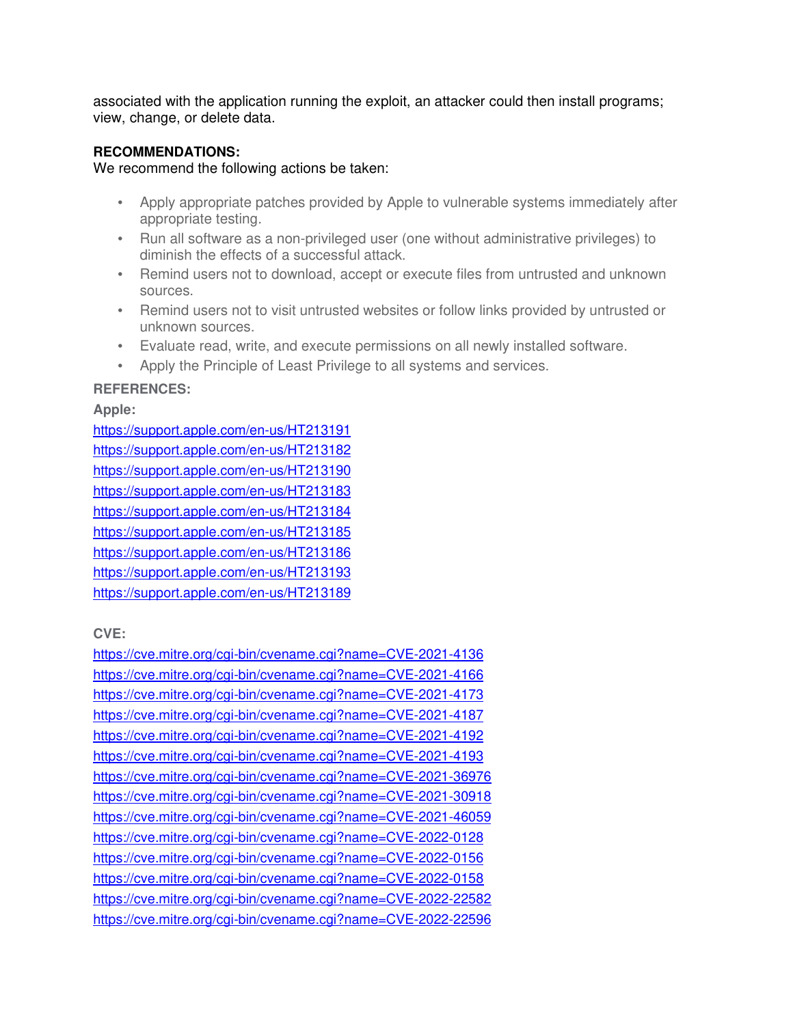associated with the application running the exploit, an attacker could then install programs; view, change, or delete data.

#### **RECOMMENDATIONS:**

We recommend the following actions be taken:

- Apply appropriate patches provided by Apple to vulnerable systems immediately after appropriate testing.
- Run all software as a non-privileged user (one without administrative privileges) to diminish the effects of a successful attack.
- Remind users not to download, accept or execute files from untrusted and unknown sources.
- Remind users not to visit untrusted websites or follow links provided by untrusted or unknown sources.
- Evaluate read, write, and execute permissions on all newly installed software.
- Apply the Principle of Least Privilege to all systems and services.

### **REFERENCES:**

**Apple:**

https://support.apple.com/en-us/HT213191 https://support.apple.com/en-us/HT213182 https://support.apple.com/en-us/HT213190 https://support.apple.com/en-us/HT213183 https://support.apple.com/en-us/HT213184 https://support.apple.com/en-us/HT213185 https://support.apple.com/en-us/HT213186 https://support.apple.com/en-us/HT213193 https://support.apple.com/en-us/HT213189

### **CVE:**

https://cve.mitre.org/cgi-bin/cvename.cgi?name=CVE-2021-4136 https://cve.mitre.org/cgi-bin/cvename.cgi?name=CVE-2021-4166 https://cve.mitre.org/cgi-bin/cvename.cgi?name=CVE-2021-4173 https://cve.mitre.org/cgi-bin/cvename.cgi?name=CVE-2021-4187 https://cve.mitre.org/cgi-bin/cvename.cgi?name=CVE-2021-4192 https://cve.mitre.org/cgi-bin/cvename.cgi?name=CVE-2021-4193 https://cve.mitre.org/cgi-bin/cvename.cgi?name=CVE-2021-36976 https://cve.mitre.org/cgi-bin/cvename.cgi?name=CVE-2021-30918 https://cve.mitre.org/cgi-bin/cvename.cgi?name=CVE-2021-46059 https://cve.mitre.org/cgi-bin/cvename.cgi?name=CVE-2022-0128 https://cve.mitre.org/cgi-bin/cvename.cgi?name=CVE-2022-0156 https://cve.mitre.org/cgi-bin/cvename.cgi?name=CVE-2022-0158 https://cve.mitre.org/cgi-bin/cvename.cgi?name=CVE-2022-22582 https://cve.mitre.org/cgi-bin/cvename.cgi?name=CVE-2022-22596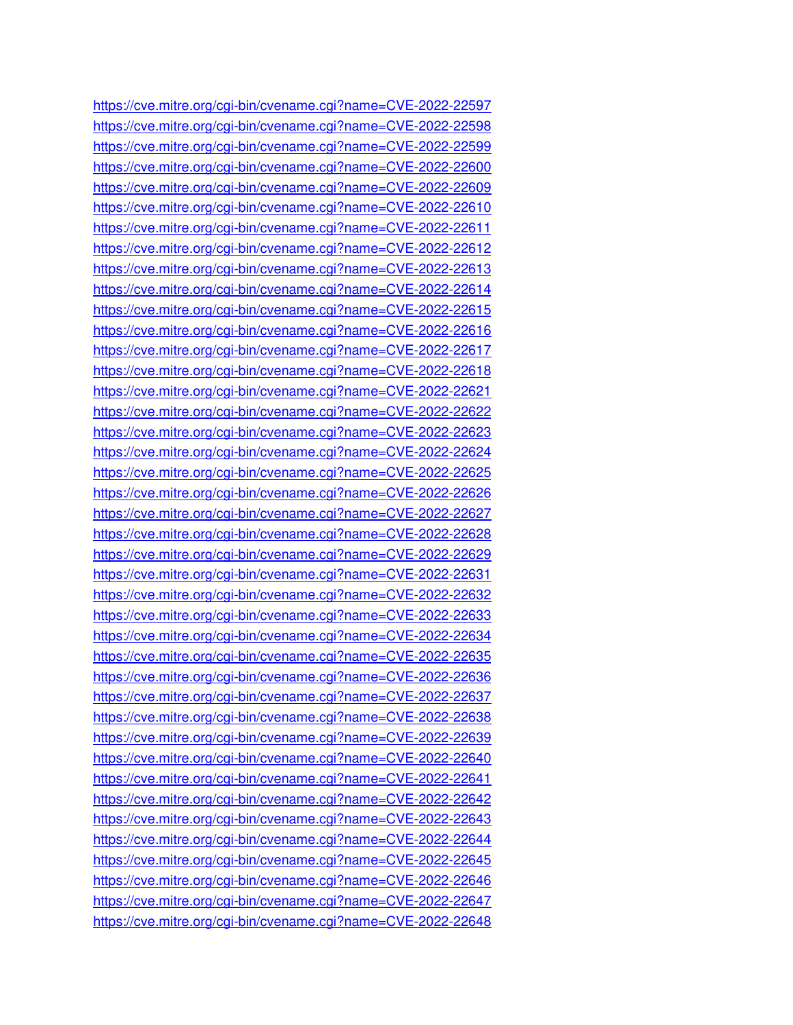https://cve.mitre.org/cgi-bin/cvename.cgi?name=CVE-2022-22597 https://cve.mitre.org/cgi-bin/cvename.cgi?name=CVE-2022-22598 https://cve.mitre.org/cgi-bin/cvename.cgi?name=CVE-2022-22599 https://cve.mitre.org/cgi-bin/cvename.cgi?name=CVE-2022-22600 https://cve.mitre.org/cgi-bin/cvename.cgi?name=CVE-2022-22609 https://cve.mitre.org/cgi-bin/cvename.cgi?name=CVE-2022-22610 https://cve.mitre.org/cgi-bin/cvename.cgi?name=CVE-2022-22611 https://cve.mitre.org/cgi-bin/cvename.cgi?name=CVE-2022-22612 https://cve.mitre.org/cgi-bin/cvename.cgi?name=CVE-2022-22613 https://cve.mitre.org/cgi-bin/cvename.cgi?name=CVE-2022-22614 https://cve.mitre.org/cgi-bin/cvename.cgi?name=CVE-2022-22615 https://cve.mitre.org/cgi-bin/cvename.cgi?name=CVE-2022-22616 https://cve.mitre.org/cgi-bin/cvename.cgi?name=CVE-2022-22617 https://cve.mitre.org/cgi-bin/cvename.cgi?name=CVE-2022-22618 https://cve.mitre.org/cgi-bin/cvename.cgi?name=CVE-2022-22621 https://cve.mitre.org/cgi-bin/cvename.cgi?name=CVE-2022-22622 https://cve.mitre.org/cgi-bin/cvename.cgi?name=CVE-2022-22623 https://cve.mitre.org/cgi-bin/cvename.cgi?name=CVE-2022-22624 https://cve.mitre.org/cgi-bin/cvename.cgi?name=CVE-2022-22625 https://cve.mitre.org/cgi-bin/cvename.cgi?name=CVE-2022-22626 https://cve.mitre.org/cgi-bin/cvename.cgi?name=CVE-2022-22627 https://cve.mitre.org/cgi-bin/cvename.cgi?name=CVE-2022-22628 https://cve.mitre.org/cgi-bin/cvename.cgi?name=CVE-2022-22629 https://cve.mitre.org/cgi-bin/cvename.cgi?name=CVE-2022-22631 https://cve.mitre.org/cgi-bin/cvename.cgi?name=CVE-2022-22632 https://cve.mitre.org/cgi-bin/cvename.cgi?name=CVE-2022-22633 https://cve.mitre.org/cgi-bin/cvename.cgi?name=CVE-2022-22634 https://cve.mitre.org/cgi-bin/cvename.cgi?name=CVE-2022-22635 https://cve.mitre.org/cgi-bin/cvename.cgi?name=CVE-2022-22636 https://cve.mitre.org/cgi-bin/cvename.cgi?name=CVE-2022-22637 https://cve.mitre.org/cgi-bin/cvename.cgi?name=CVE-2022-22638 https://cve.mitre.org/cgi-bin/cvename.cgi?name=CVE-2022-22639 https://cve.mitre.org/cgi-bin/cvename.cgi?name=CVE-2022-22640 https://cve.mitre.org/cgi-bin/cvename.cgi?name=CVE-2022-22641 https://cve.mitre.org/cgi-bin/cvename.cgi?name=CVE-2022-22642 https://cve.mitre.org/cgi-bin/cvename.cgi?name=CVE-2022-22643 https://cve.mitre.org/cgi-bin/cvename.cgi?name=CVE-2022-22644 https://cve.mitre.org/cgi-bin/cvename.cgi?name=CVE-2022-22645 https://cve.mitre.org/cgi-bin/cvename.cgi?name=CVE-2022-22646 https://cve.mitre.org/cgi-bin/cvename.cgi?name=CVE-2022-22647 https://cve.mitre.org/cgi-bin/cvename.cgi?name=CVE-2022-22648